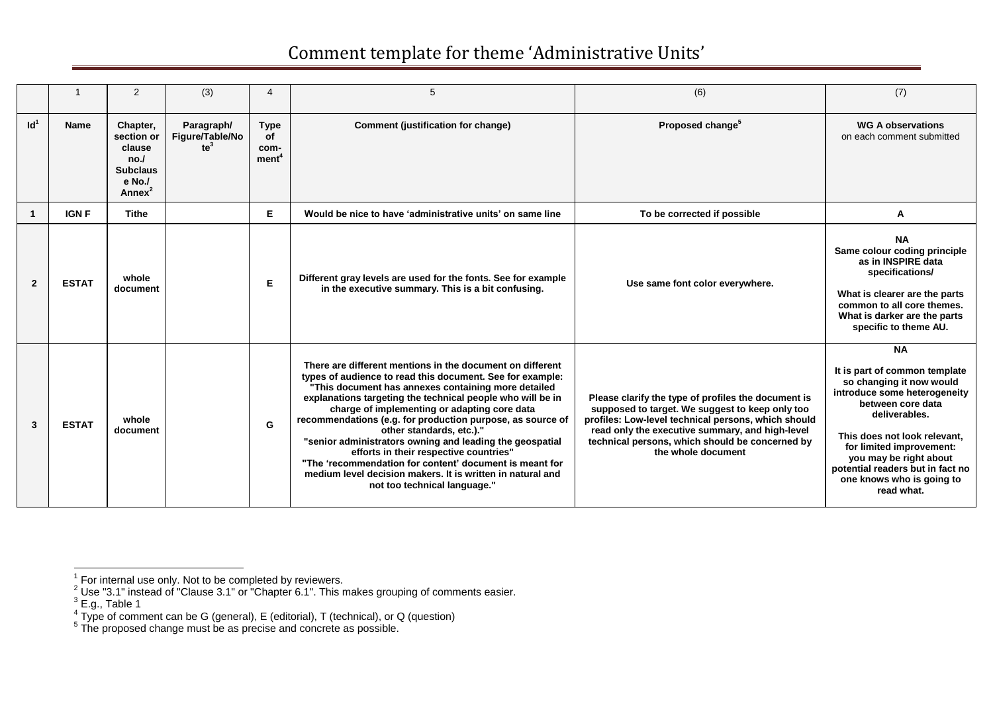|                 |              | 2                                                                                          | (3)                                     |                                                | 5                                                                                                                                                                                                                                                                                                                                                                                                                                                                                                                                                                                                                                                    | (6)                                                                                                                                                                                                                                                                                       | (7)                                                                                                                                                                                                                                                                                                               |
|-----------------|--------------|--------------------------------------------------------------------------------------------|-----------------------------------------|------------------------------------------------|------------------------------------------------------------------------------------------------------------------------------------------------------------------------------------------------------------------------------------------------------------------------------------------------------------------------------------------------------------------------------------------------------------------------------------------------------------------------------------------------------------------------------------------------------------------------------------------------------------------------------------------------------|-------------------------------------------------------------------------------------------------------------------------------------------------------------------------------------------------------------------------------------------------------------------------------------------|-------------------------------------------------------------------------------------------------------------------------------------------------------------------------------------------------------------------------------------------------------------------------------------------------------------------|
| Id <sup>1</sup> | <b>Name</b>  | Chapter,<br>section or<br>clause<br>no.<br><b>Subclaus</b><br>e No./<br>Annex <sup>2</sup> | Paragraph/<br>Figure/Table/No<br>$te^3$ | <b>Type</b><br>οf<br>com-<br>ment <sup>4</sup> | <b>Comment (justification for change)</b>                                                                                                                                                                                                                                                                                                                                                                                                                                                                                                                                                                                                            | Proposed change <sup>5</sup>                                                                                                                                                                                                                                                              | <b>WG A observations</b><br>on each comment submitted                                                                                                                                                                                                                                                             |
|                 | <b>IGN F</b> | <b>Tithe</b>                                                                               |                                         | Е.                                             | Would be nice to have 'administrative units' on same line                                                                                                                                                                                                                                                                                                                                                                                                                                                                                                                                                                                            | To be corrected if possible                                                                                                                                                                                                                                                               | А                                                                                                                                                                                                                                                                                                                 |
| $\overline{2}$  | <b>ESTAT</b> | whole<br>document                                                                          |                                         | Е                                              | Different gray levels are used for the fonts. See for example<br>in the executive summary. This is a bit confusing.                                                                                                                                                                                                                                                                                                                                                                                                                                                                                                                                  | Use same font color everywhere.                                                                                                                                                                                                                                                           | <b>NA</b><br>Same colour coding principle<br>as in INSPIRE data<br>specifications/<br>What is clearer are the parts<br>common to all core themes.<br>What is darker are the parts<br>specific to theme AU.                                                                                                        |
| 3               | <b>ESTAT</b> | whole<br>document                                                                          |                                         | G                                              | There are different mentions in the document on different<br>types of audience to read this document. See for example:<br>"This document has annexes containing more detailed<br>explanations targeting the technical people who will be in<br>charge of implementing or adapting core data<br>recommendations (e.g. for production purpose, as source of<br>other standards, etc.)."<br>"senior administrators owning and leading the geospatial<br>efforts in their respective countries"<br>"The 'recommendation for content' document is meant for<br>medium level decision makers. It is written in natural and<br>not too technical language." | Please clarify the type of profiles the document is<br>supposed to target. We suggest to keep only too<br>profiles: Low-level technical persons, which should<br>read only the executive summary, and high-level<br>technical persons, which should be concerned by<br>the whole document | <b>NA</b><br>It is part of common template<br>so changing it now would<br>introduce some heterogeneity<br>between core data<br>deliverables.<br>This does not look relevant.<br>for limited improvement:<br>you may be right about<br>potential readers but in fact no<br>one knows who is going to<br>read what. |

 1 For internal use only. Not to be completed by reviewers.

<sup>&</sup>lt;sup>2</sup> Use "3.1" instead of "Clause 3.1" or "Chapter 6.1". This makes grouping of comments easier.<br>
<sup>3</sup> E.g., Table 1<br>
<sup>4</sup> Type of comment can be G (general), E (editorial), T (technical), or Q (question)<br>
<sup>5</sup> The proposed c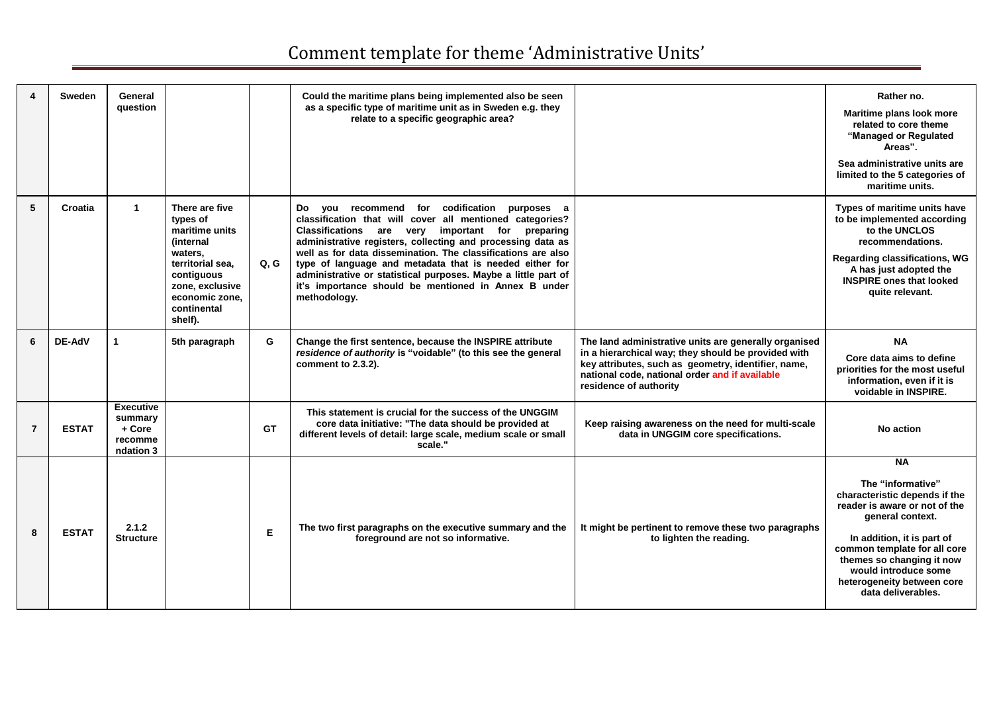|                | <b>Sweden</b> | General<br>question                                           |                                                                                                                                                                              |           | Could the maritime plans being implemented also be seen<br>as a specific type of maritime unit as in Sweden e.g. they<br>relate to a specific geographic area?                                                                                                                                                                                                                                                                                                                                         |                                                                                                                                                                                                                                                 | Rather no.<br>Maritime plans look more<br>related to core theme<br>"Managed or Regulated<br>Areas".<br>Sea administrative units are<br>limited to the 5 categories of                                                                                                                       |
|----------------|---------------|---------------------------------------------------------------|------------------------------------------------------------------------------------------------------------------------------------------------------------------------------|-----------|--------------------------------------------------------------------------------------------------------------------------------------------------------------------------------------------------------------------------------------------------------------------------------------------------------------------------------------------------------------------------------------------------------------------------------------------------------------------------------------------------------|-------------------------------------------------------------------------------------------------------------------------------------------------------------------------------------------------------------------------------------------------|---------------------------------------------------------------------------------------------------------------------------------------------------------------------------------------------------------------------------------------------------------------------------------------------|
| 5              | Croatia       | 1                                                             | There are five<br>types of<br>maritime units<br><i>(internal</i><br>waters,<br>territorial sea.<br>contiguous<br>zone, exclusive<br>economic zone.<br>continental<br>shelf). | Q.G       | Do you recommend for codification<br>purposes a<br>classification that will cover all mentioned categories?<br>Classifications are very important for<br>preparing<br>administrative registers, collecting and processing data as<br>well as for data dissemination. The classifications are also<br>type of language and metadata that is needed either for<br>administrative or statistical purposes. Maybe a little part of<br>it's importance should be mentioned in Annex B under<br>methodology. |                                                                                                                                                                                                                                                 | maritime units.<br>Types of maritime units have<br>to be implemented according<br>to the UNCLOS<br>recommendations.<br><b>Regarding classifications, WG</b><br>A has just adopted the<br><b>INSPIRE ones that looked</b><br>quite relevant.                                                 |
| 6              | <b>DE-AdV</b> | $\mathbf{1}$                                                  | 5th paragraph                                                                                                                                                                | G         | Change the first sentence, because the INSPIRE attribute<br>residence of authority is "voidable" (to this see the general<br>comment to 2.3.2).                                                                                                                                                                                                                                                                                                                                                        | The land administrative units are generally organised<br>in a hierarchical way; they should be provided with<br>key attributes, such as geometry, identifier, name,<br>national code, national order and if available<br>residence of authority | <b>NA</b><br>Core data aims to define<br>priorities for the most useful<br>information, even if it is<br>voidable in INSPIRE.                                                                                                                                                               |
| $\overline{7}$ | <b>ESTAT</b>  | <b>Executive</b><br>summary<br>+ Core<br>recomme<br>ndation 3 |                                                                                                                                                                              | <b>GT</b> | This statement is crucial for the success of the UNGGIM<br>core data initiative: "The data should be provided at<br>different levels of detail: large scale, medium scale or small<br>scale."                                                                                                                                                                                                                                                                                                          | Keep raising awareness on the need for multi-scale<br>data in UNGGIM core specifications.                                                                                                                                                       | No action                                                                                                                                                                                                                                                                                   |
| 8              | <b>ESTAT</b>  | 2.1.2<br><b>Structure</b>                                     |                                                                                                                                                                              | E         | The two first paragraphs on the executive summary and the<br>foreground are not so informative.                                                                                                                                                                                                                                                                                                                                                                                                        | It might be pertinent to remove these two paragraphs<br>to lighten the reading.                                                                                                                                                                 | <b>NA</b><br>The "informative"<br>characteristic depends if the<br>reader is aware or not of the<br>general context.<br>In addition, it is part of<br>common template for all core<br>themes so changing it now<br>would introduce some<br>heterogeneity between core<br>data deliverables. |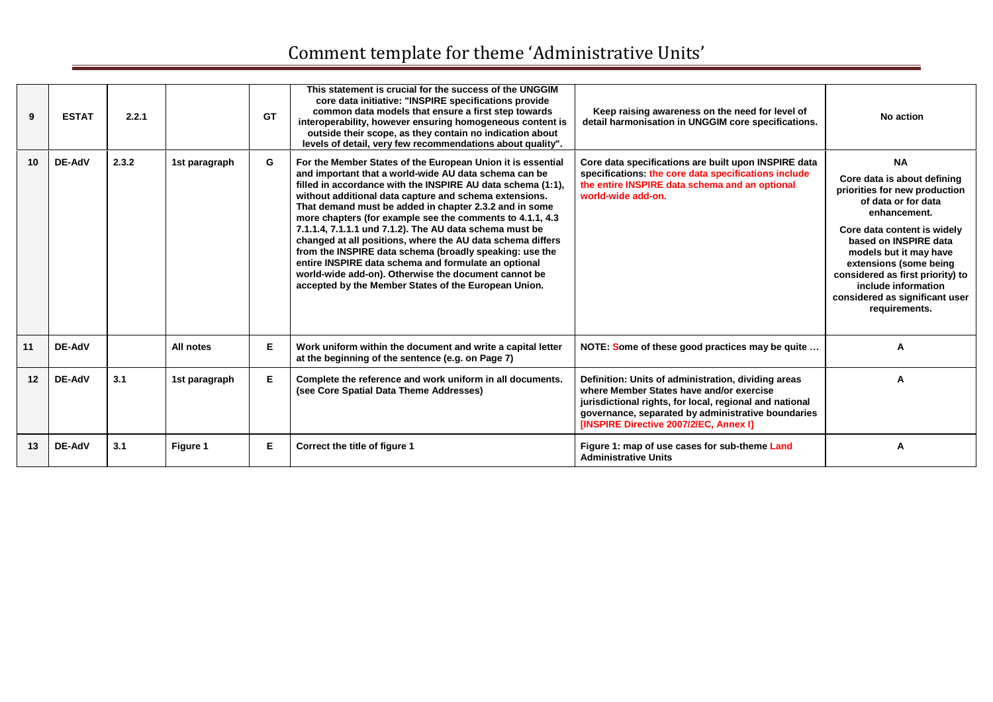| 9  | <b>ESTAT</b>  | 2.2.1 |               | <b>GT</b> | This statement is crucial for the success of the UNGGIM<br>core data initiative: "INSPIRE specifications provide<br>common data models that ensure a first step towards<br>interoperability, however ensuring homogeneous content is<br>outside their scope, as they contain no indication about<br>levels of detail, very few recommendations about quality".                                                                                                                                                                                                                                                                                                                                                                    | Keep raising awareness on the need for level of<br>detail harmonisation in UNGGIM core specifications.                                                                                                                                                     | No action                                                                                                                                                                                                                                                                                                                                  |
|----|---------------|-------|---------------|-----------|-----------------------------------------------------------------------------------------------------------------------------------------------------------------------------------------------------------------------------------------------------------------------------------------------------------------------------------------------------------------------------------------------------------------------------------------------------------------------------------------------------------------------------------------------------------------------------------------------------------------------------------------------------------------------------------------------------------------------------------|------------------------------------------------------------------------------------------------------------------------------------------------------------------------------------------------------------------------------------------------------------|--------------------------------------------------------------------------------------------------------------------------------------------------------------------------------------------------------------------------------------------------------------------------------------------------------------------------------------------|
| 10 | <b>DE-AdV</b> | 2.3.2 | 1st paragraph | G         | For the Member States of the European Union it is essential<br>and important that a world-wide AU data schema can be<br>filled in accordance with the INSPIRE AU data schema (1:1),<br>without additional data capture and schema extensions.<br>That demand must be added in chapter 2.3.2 and in some<br>more chapters (for example see the comments to 4.1.1, 4.3)<br>7.1.1.4, 7.1.1.1 und 7.1.2). The AU data schema must be<br>changed at all positions, where the AU data schema differs<br>from the INSPIRE data schema (broadly speaking: use the<br>entire INSPIRE data schema and formulate an optional<br>world-wide add-on). Otherwise the document cannot be<br>accepted by the Member States of the European Union. | Core data specifications are built upon INSPIRE data<br>specifications: the core data specifications include<br>the entire INSPIRE data schema and an optional<br>world-wide add-on.                                                                       | <b>NA</b><br>Core data is about defining<br>priorities for new production<br>of data or for data<br>enhancement.<br>Core data content is widely<br>based on INSPIRE data<br>models but it may have<br>extensions (some being<br>considered as first priority) to<br>include information<br>considered as significant user<br>requirements. |
| 11 | DE-AdV        |       | All notes     | Е         | Work uniform within the document and write a capital letter<br>at the beginning of the sentence (e.g. on Page 7)                                                                                                                                                                                                                                                                                                                                                                                                                                                                                                                                                                                                                  | NOTE: Some of these good practices may be quite                                                                                                                                                                                                            |                                                                                                                                                                                                                                                                                                                                            |
| 12 | <b>DE-AdV</b> | 3.1   | 1st paragraph | Е         | Complete the reference and work uniform in all documents.<br>(see Core Spatial Data Theme Addresses)                                                                                                                                                                                                                                                                                                                                                                                                                                                                                                                                                                                                                              | Definition: Units of administration, dividing areas<br>where Member States have and/or exercise<br>jurisdictional rights, for local, regional and national<br>governance, separated by administrative boundaries<br>[INSPIRE Directive 2007/2/EC, Annex I] | А                                                                                                                                                                                                                                                                                                                                          |
| 13 | <b>DE-AdV</b> | 3.1   | Figure 1      | Е         | Correct the title of figure 1                                                                                                                                                                                                                                                                                                                                                                                                                                                                                                                                                                                                                                                                                                     | Figure 1: map of use cases for sub-theme Land<br><b>Administrative Units</b>                                                                                                                                                                               |                                                                                                                                                                                                                                                                                                                                            |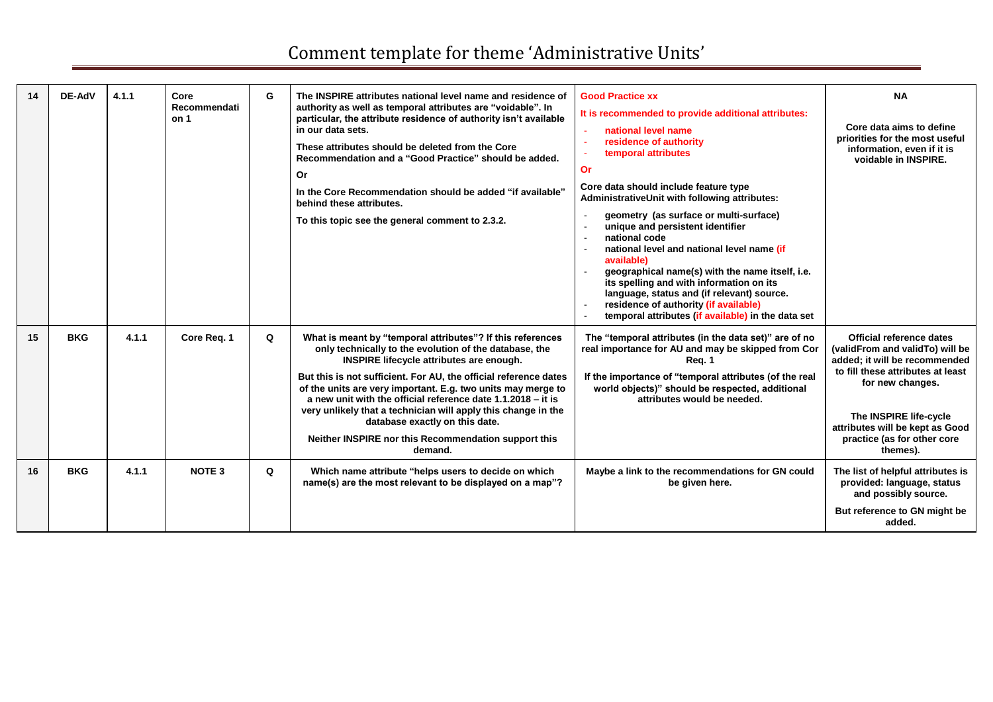| 14 | DE-AdV     | 4.1.1 | Core<br>Recommendati<br>on 1 | G | The INSPIRE attributes national level name and residence of<br>authority as well as temporal attributes are "voidable". In<br>particular, the attribute residence of authority isn't available<br>in our data sets.<br>These attributes should be deleted from the Core<br>Recommendation and a "Good Practice" should be added.<br><b>Or</b><br>In the Core Recommendation should be added "if available"<br>behind these attributes.<br>To this topic see the general comment to 2.3.2.                                                  | <b>Good Practice xx</b><br>It is recommended to provide additional attributes:<br>national level name<br>residence of authority<br>$\sim$<br>temporal attributes<br>$\sim$<br>Or<br>Core data should include feature type<br>AdministrativeUnit with following attributes:<br>geometry (as surface or multi-surface)<br>unique and persistent identifier<br>$\sim$<br>national code<br>$\sim$<br>national level and national level name (if<br>$\sim$<br>available)<br>geographical name(s) with the name itself, i.e.<br>its spelling and with information on its<br>language, status and (if relevant) source.<br>residence of authority (if available)<br>$\sim$<br>temporal attributes (if available) in the data set<br>$\sim$ | <b>NA</b><br>Core data aims to define<br>priorities for the most useful<br>information, even if it is<br>voidable in INSPIRE.                                                                                                                                 |
|----|------------|-------|------------------------------|---|--------------------------------------------------------------------------------------------------------------------------------------------------------------------------------------------------------------------------------------------------------------------------------------------------------------------------------------------------------------------------------------------------------------------------------------------------------------------------------------------------------------------------------------------|-------------------------------------------------------------------------------------------------------------------------------------------------------------------------------------------------------------------------------------------------------------------------------------------------------------------------------------------------------------------------------------------------------------------------------------------------------------------------------------------------------------------------------------------------------------------------------------------------------------------------------------------------------------------------------------------------------------------------------------|---------------------------------------------------------------------------------------------------------------------------------------------------------------------------------------------------------------------------------------------------------------|
| 15 | <b>BKG</b> | 4.1.1 | Core Req. 1                  | Q | What is meant by "temporal attributes"? If this references<br>only technically to the evolution of the database, the<br>INSPIRE lifecycle attributes are enough.<br>But this is not sufficient. For AU, the official reference dates<br>of the units are very important. E.g. two units may merge to<br>a new unit with the official reference date 1.1.2018 - it is<br>very unlikely that a technician will apply this change in the<br>database exactly on this date.<br>Neither INSPIRE nor this Recommendation support this<br>demand. | The "temporal attributes (in the data set)" are of no<br>real importance for AU and may be skipped from Cor<br>Req. 1<br>If the importance of "temporal attributes (of the real<br>world objects)" should be respected, additional<br>attributes would be needed.                                                                                                                                                                                                                                                                                                                                                                                                                                                                   | Official reference dates<br>(validFrom and validTo) will be<br>added; it will be recommended<br>to fill these attributes at least<br>for new changes.<br>The INSPIRE life-cycle<br>attributes will be kept as Good<br>practice (as for other core<br>themes). |
| 16 | <b>BKG</b> | 4.1.1 | <b>NOTE 3</b>                | Q | Which name attribute "helps users to decide on which<br>name(s) are the most relevant to be displayed on a map"?                                                                                                                                                                                                                                                                                                                                                                                                                           | Maybe a link to the recommendations for GN could<br>be given here.                                                                                                                                                                                                                                                                                                                                                                                                                                                                                                                                                                                                                                                                  | The list of helpful attributes is<br>provided: language, status<br>and possibly source.<br>But reference to GN might be<br>added.                                                                                                                             |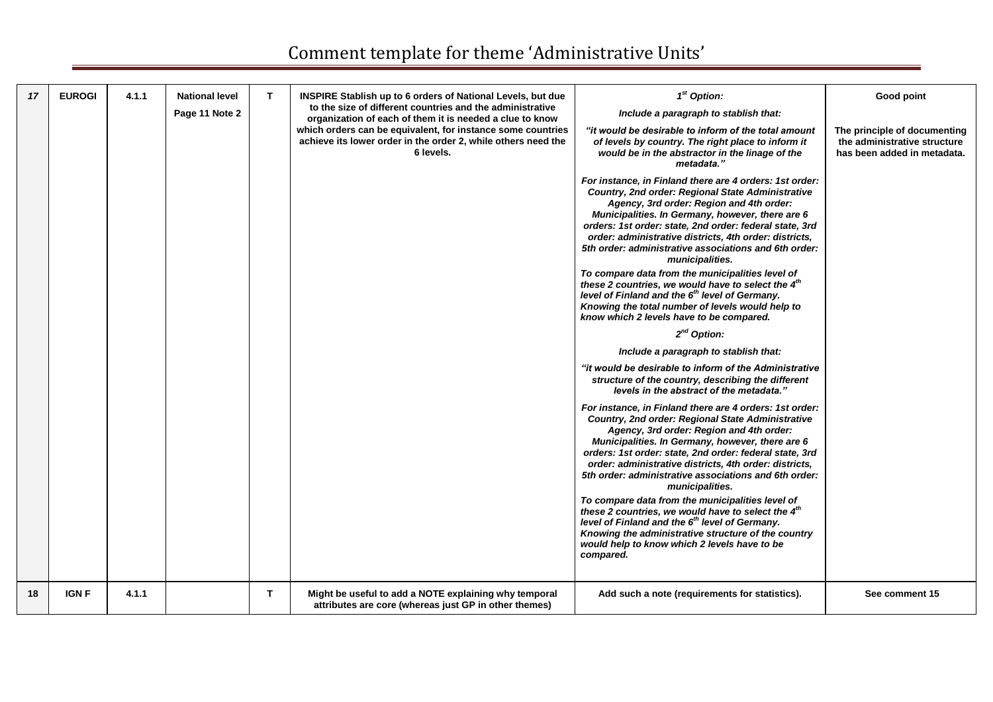| 17 | <b>EUROGI</b> | 4.1.1 | <b>National level</b><br>Page 11 Note 2 | T. | <b>INSPIRE Stablish up to 6 orders of National Levels, but due</b><br>to the size of different countries and the administrative<br>organization of each of them it is needed a clue to know<br>which orders can be equivalent, for instance some countries<br>achieve its lower order in the order 2, while others need the<br>6 levels. | $1st$ Option:<br>Include a paragraph to stablish that:<br>"it would be desirable to inform of the total amount<br>of levels by country. The right place to inform it<br>would be in the abstractor in the linage of the<br>metadata."<br>For instance, in Finland there are 4 orders: 1st order:<br>Country, 2nd order: Regional State Administrative<br>Agency, 3rd order: Region and 4th order:<br>Municipalities. In Germany, however, there are 6<br>orders: 1st order: state, 2nd order: federal state, 3rd<br>order: administrative districts, 4th order: districts,<br>5th order: administrative associations and 6th order:<br>municipalities.<br>To compare data from the municipalities level of<br>these 2 countries, we would have to select the 4 <sup>th</sup><br>level of Finland and the 6 <sup>th</sup> level of Germany.<br>Knowing the total number of levels would help to<br>know which 2 levels have to be compared.<br>$2^{nd}$ Option:<br>Include a paragraph to stablish that:<br>"it would be desirable to inform of the Administrative<br>structure of the country, describing the different<br>levels in the abstract of the metadata."<br>For instance, in Finland there are 4 orders: 1st order:<br>Country, 2nd order: Regional State Administrative<br>Agency, 3rd order: Region and 4th order:<br>Municipalities. In Germany, however, there are 6<br>orders: 1st order: state, 2nd order: federal state, 3rd<br>order: administrative districts, 4th order: districts,<br>5th order: administrative associations and 6th order:<br>municipalities.<br>To compare data from the municipalities level of<br>these 2 countries, we would have to select the 4th<br>level of Finland and the 6 <sup>th</sup> level of Germany.<br>Knowing the administrative structure of the country | Good point<br>The principle of documenting<br>the administrative structure<br>has been added in metadata. |
|----|---------------|-------|-----------------------------------------|----|------------------------------------------------------------------------------------------------------------------------------------------------------------------------------------------------------------------------------------------------------------------------------------------------------------------------------------------|---------------------------------------------------------------------------------------------------------------------------------------------------------------------------------------------------------------------------------------------------------------------------------------------------------------------------------------------------------------------------------------------------------------------------------------------------------------------------------------------------------------------------------------------------------------------------------------------------------------------------------------------------------------------------------------------------------------------------------------------------------------------------------------------------------------------------------------------------------------------------------------------------------------------------------------------------------------------------------------------------------------------------------------------------------------------------------------------------------------------------------------------------------------------------------------------------------------------------------------------------------------------------------------------------------------------------------------------------------------------------------------------------------------------------------------------------------------------------------------------------------------------------------------------------------------------------------------------------------------------------------------------------------------------------------------------------------------------------------------------------------------------------------------------------------------------|-----------------------------------------------------------------------------------------------------------|
| 18 | <b>IGN F</b>  | 4.1.1 |                                         | T. | Might be useful to add a NOTE explaining why temporal                                                                                                                                                                                                                                                                                    | would help to know which 2 levels have to be<br>compared.<br>Add such a note (requirements for statistics).                                                                                                                                                                                                                                                                                                                                                                                                                                                                                                                                                                                                                                                                                                                                                                                                                                                                                                                                                                                                                                                                                                                                                                                                                                                                                                                                                                                                                                                                                                                                                                                                                                                                                                         | See comment 15                                                                                            |
|    |               |       |                                         |    | attributes are core (whereas just GP in other themes)                                                                                                                                                                                                                                                                                    |                                                                                                                                                                                                                                                                                                                                                                                                                                                                                                                                                                                                                                                                                                                                                                                                                                                                                                                                                                                                                                                                                                                                                                                                                                                                                                                                                                                                                                                                                                                                                                                                                                                                                                                                                                                                                     |                                                                                                           |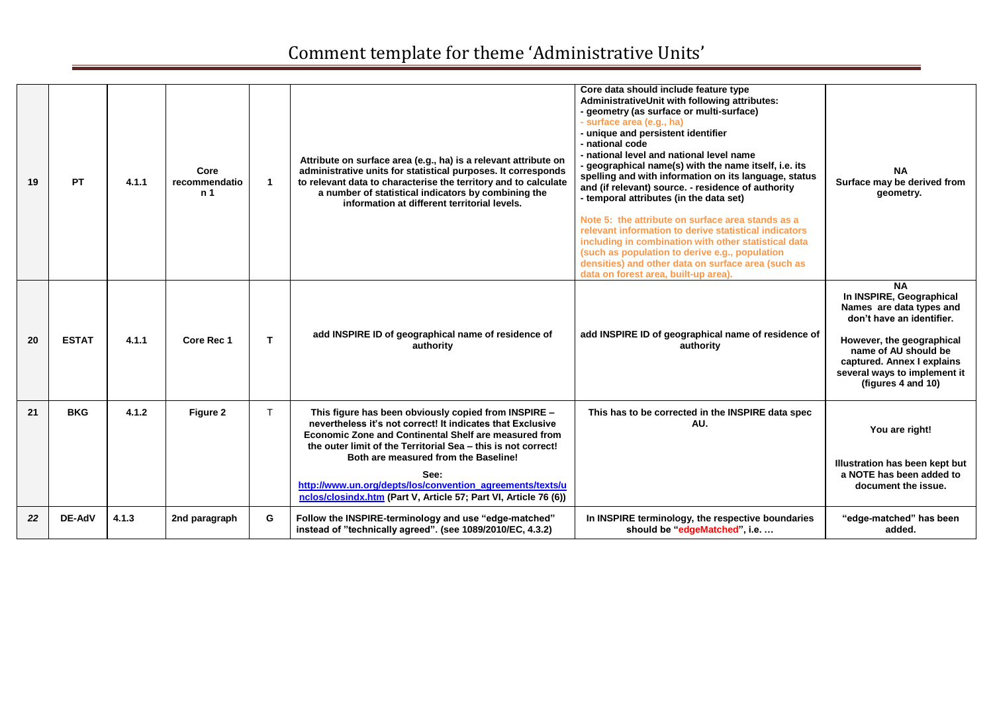| 19 | <b>PT</b>    | 4.1.1 | Core<br>recommendatio<br>n 1 |    | Attribute on surface area (e.g., ha) is a relevant attribute on<br>administrative units for statistical purposes. It corresponds<br>to relevant data to characterise the territory and to calculate<br>a number of statistical indicators by combining the<br>information at different territorial levels.                                                                                                                           | Core data should include feature type<br>AdministrativeUnit with following attributes:<br>- geometry (as surface or multi-surface)<br>- surface area (e.g., ha)<br>- unique and persistent identifier<br>- national code<br>- national level and national level name<br>- geographical name(s) with the name itself, i.e. its<br>spelling and with information on its language, status<br>and (if relevant) source. - residence of authority<br>- temporal attributes (in the data set)<br>Note 5: the attribute on surface area stands as a<br>relevant information to derive statistical indicators<br>including in combination with other statistical data<br>(such as population to derive e.g., population<br>densities) and other data on surface area (such as<br>data on forest area, built-up area). | <b>NA</b><br>Surface may be derived from<br>geometry.                                                                                                                                                                                   |
|----|--------------|-------|------------------------------|----|--------------------------------------------------------------------------------------------------------------------------------------------------------------------------------------------------------------------------------------------------------------------------------------------------------------------------------------------------------------------------------------------------------------------------------------|---------------------------------------------------------------------------------------------------------------------------------------------------------------------------------------------------------------------------------------------------------------------------------------------------------------------------------------------------------------------------------------------------------------------------------------------------------------------------------------------------------------------------------------------------------------------------------------------------------------------------------------------------------------------------------------------------------------------------------------------------------------------------------------------------------------|-----------------------------------------------------------------------------------------------------------------------------------------------------------------------------------------------------------------------------------------|
| 20 | <b>ESTAT</b> | 4.1.1 | <b>Core Rec 1</b>            | T. | add INSPIRE ID of geographical name of residence of<br>authority                                                                                                                                                                                                                                                                                                                                                                     | add INSPIRE ID of geographical name of residence of<br>authority                                                                                                                                                                                                                                                                                                                                                                                                                                                                                                                                                                                                                                                                                                                                              | <b>NA</b><br>In INSPIRE, Geographical<br>Names are data types and<br>don't have an identifier.<br>However, the geographical<br>name of AU should be<br>captured. Annex I explains<br>several ways to implement it<br>(figures 4 and 10) |
| 21 | <b>BKG</b>   | 4.1.2 | Figure 2                     | T. | This figure has been obviously copied from INSPIRE -<br>nevertheless it's not correct! It indicates that Exclusive<br><b>Economic Zone and Continental Shelf are measured from</b><br>the outer limit of the Territorial Sea - this is not correct!<br>Both are measured from the Baseline!<br>See:<br>http://www.un.org/depts/los/convention_agreements/texts/u<br>nclos/closindx.htm (Part V, Article 57; Part VI, Article 76 (6)) | This has to be corrected in the INSPIRE data spec<br>AU.                                                                                                                                                                                                                                                                                                                                                                                                                                                                                                                                                                                                                                                                                                                                                      | You are right!<br>Illustration has been kept but<br>a NOTE has been added to<br>document the issue.                                                                                                                                     |
| 22 | DE-AdV       | 4.1.3 | 2nd paragraph                | G  | Follow the INSPIRE-terminology and use "edge-matched"<br>instead of "technically agreed". (see 1089/2010/EC, 4.3.2)                                                                                                                                                                                                                                                                                                                  | In INSPIRE terminology, the respective boundaries<br>should be "edgeMatched", i.e.                                                                                                                                                                                                                                                                                                                                                                                                                                                                                                                                                                                                                                                                                                                            | "edge-matched" has been<br>added.                                                                                                                                                                                                       |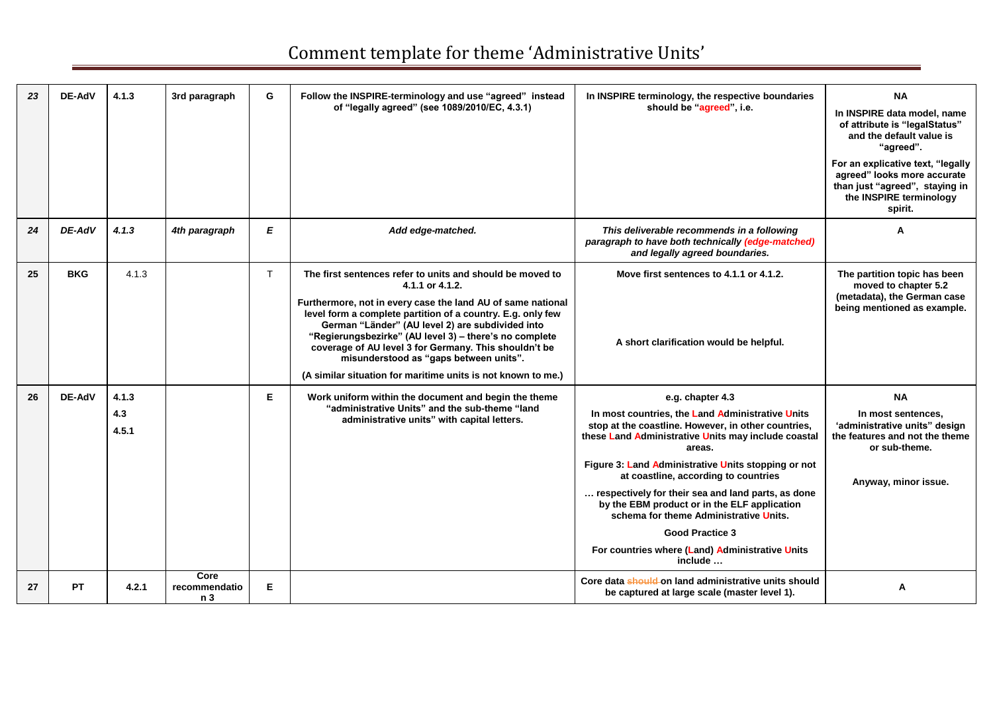| 23 | <b>DE-AdV</b> | 4.1.3                 | 3rd paragraph                | G | Follow the INSPIRE-terminology and use "agreed" instead<br>of "legally agreed" (see 1089/2010/EC, 4.3.1)                                                                                                                                                                                                                                                                                                                                                                                    | In INSPIRE terminology, the respective boundaries<br>should be "agreed", i.e.                                                                                                                                                                                                                                                                                                                                                                                                                                                       | <b>NA</b><br>In INSPIRE data model, name<br>of attribute is "legalStatus"<br>and the default value is<br>"agreed".<br>For an explicative text, "legally<br>agreed" looks more accurate<br>than just "agreed", staying in<br>the INSPIRE terminology<br>spirit. |
|----|---------------|-----------------------|------------------------------|---|---------------------------------------------------------------------------------------------------------------------------------------------------------------------------------------------------------------------------------------------------------------------------------------------------------------------------------------------------------------------------------------------------------------------------------------------------------------------------------------------|-------------------------------------------------------------------------------------------------------------------------------------------------------------------------------------------------------------------------------------------------------------------------------------------------------------------------------------------------------------------------------------------------------------------------------------------------------------------------------------------------------------------------------------|----------------------------------------------------------------------------------------------------------------------------------------------------------------------------------------------------------------------------------------------------------------|
| 24 | DE-AdV        | 4.1.3                 | 4th paragraph                | E | Add edge-matched.                                                                                                                                                                                                                                                                                                                                                                                                                                                                           | This deliverable recommends in a following<br>paragraph to have both technically (edge-matched)<br>and legally agreed boundaries.                                                                                                                                                                                                                                                                                                                                                                                                   | A                                                                                                                                                                                                                                                              |
| 25 | <b>BKG</b>    | 4.1.3                 |                              | T | The first sentences refer to units and should be moved to<br>4.1.1 or 4.1.2.<br>Furthermore, not in every case the land AU of same national<br>level form a complete partition of a country. E.g. only few<br>German "Länder" (AU level 2) are subdivided into<br>"Regierungsbezirke" (AU level 3) - there's no complete<br>coverage of AU level 3 for Germany. This shouldn't be<br>misunderstood as "gaps between units".<br>(A similar situation for maritime units is not known to me.) | Move first sentences to 4.1.1 or 4.1.2.<br>A short clarification would be helpful.                                                                                                                                                                                                                                                                                                                                                                                                                                                  | The partition topic has been<br>moved to chapter 5.2<br>(metadata), the German case<br>being mentioned as example.                                                                                                                                             |
| 26 | <b>DE-AdV</b> | 4.1.3<br>4.3<br>4.5.1 |                              | Е | Work uniform within the document and begin the theme<br>"administrative Units" and the sub-theme "land<br>administrative units" with capital letters.                                                                                                                                                                                                                                                                                                                                       | e.g. chapter 4.3<br>In most countries, the Land Administrative Units<br>stop at the coastline. However, in other countries,<br>these Land Administrative Units may include coastal<br>areas.<br>Figure 3: Land Administrative Units stopping or not<br>at coastline, according to countries<br>respectively for their sea and land parts, as done<br>by the EBM product or in the ELF application<br>schema for theme Administrative Units.<br><b>Good Practice 3</b><br>For countries where (Land) Administrative Units<br>include | <b>NA</b><br>In most sentences,<br>'administrative units" design<br>the features and not the theme<br>or sub-theme.<br>Anyway, minor issue.                                                                                                                    |
| 27 | <b>PT</b>     | 4.2.1                 | Core<br>recommendatio<br>n 3 | E |                                                                                                                                                                                                                                                                                                                                                                                                                                                                                             | Core data should on land administrative units should<br>be captured at large scale (master level 1).                                                                                                                                                                                                                                                                                                                                                                                                                                | A                                                                                                                                                                                                                                                              |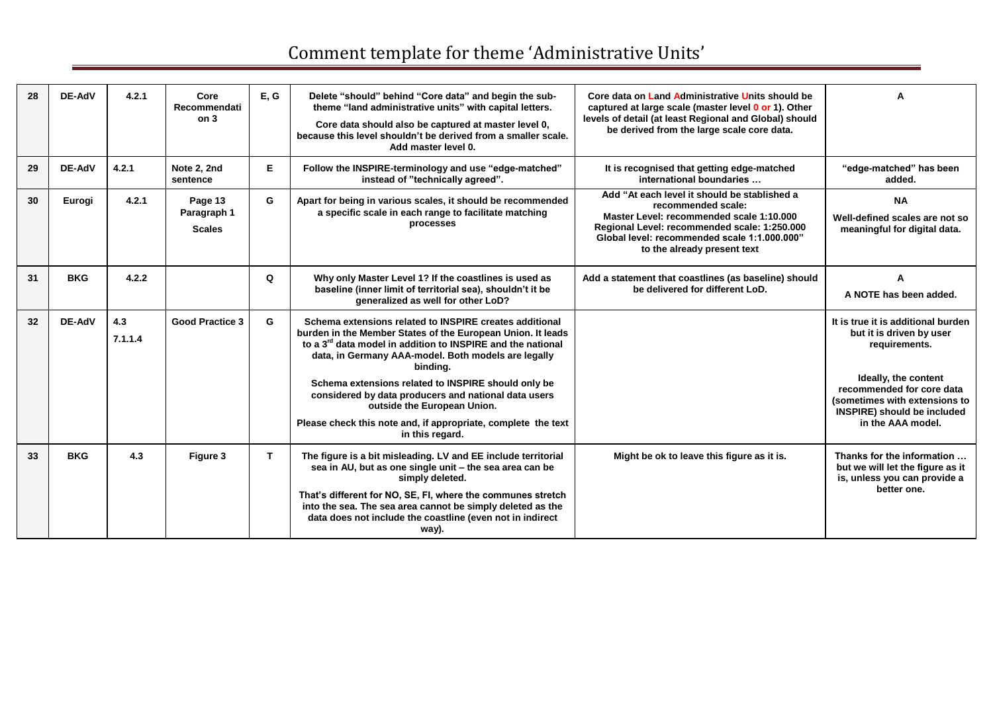| 28 | DE-AdV     | 4.2.1          | Core<br>Recommendati<br>on <sub>3</sub> | E, G         | Delete "should" behind "Core data" and begin the sub-<br>theme "land administrative units" with capital letters.<br>Core data should also be captured at master level 0,<br>because this level shouldn't be derived from a smaller scale.<br>Add master level 0.                                                                                                                                                                                                                    | Core data on Land Administrative Units should be<br>captured at large scale (master level 0 or 1). Other<br>levels of detail (at least Regional and Global) should<br>be derived from the large scale core data.                              |                                                                                                                                                                                                                                  |
|----|------------|----------------|-----------------------------------------|--------------|-------------------------------------------------------------------------------------------------------------------------------------------------------------------------------------------------------------------------------------------------------------------------------------------------------------------------------------------------------------------------------------------------------------------------------------------------------------------------------------|-----------------------------------------------------------------------------------------------------------------------------------------------------------------------------------------------------------------------------------------------|----------------------------------------------------------------------------------------------------------------------------------------------------------------------------------------------------------------------------------|
| 29 | DE-AdV     | 4.2.1          | Note 2, 2nd<br>sentence                 | Е            | Follow the INSPIRE-terminology and use "edge-matched"<br>instead of "technically agreed".                                                                                                                                                                                                                                                                                                                                                                                           | It is recognised that getting edge-matched<br>international boundaries                                                                                                                                                                        | "edge-matched" has been<br>added.                                                                                                                                                                                                |
| 30 | Eurogi     | 4.2.1          | Page 13<br>Paragraph 1<br><b>Scales</b> | G            | Apart for being in various scales, it should be recommended<br>a specific scale in each range to facilitate matching<br>processes                                                                                                                                                                                                                                                                                                                                                   | Add "At each level it should be stablished a<br>recommended scale:<br>Master Level: recommended scale 1:10.000<br>Regional Level: recommended scale: 1:250.000<br>Global level: recommended scale 1:1.000.000"<br>to the already present text | <b>NA</b><br>Well-defined scales are not so<br>meaningful for digital data.                                                                                                                                                      |
| 31 | <b>BKG</b> | 4.2.2          |                                         | O            | Why only Master Level 1? If the coastlines is used as<br>baseline (inner limit of territorial sea), shouldn't it be<br>generalized as well for other LoD?                                                                                                                                                                                                                                                                                                                           | Add a statement that coastlines (as baseline) should<br>be delivered for different LoD.                                                                                                                                                       | A NOTE has been added.                                                                                                                                                                                                           |
| 32 | DE-AdV     | 4.3<br>7.1.1.4 | <b>Good Practice 3</b>                  | G            | Schema extensions related to INSPIRE creates additional<br>burden in the Member States of the European Union. It leads<br>to a 3 <sup>rd</sup> data model in addition to INSPIRE and the national<br>data, in Germany AAA-model. Both models are legally<br>binding.<br>Schema extensions related to INSPIRE should only be<br>considered by data producers and national data users<br>outside the European Union.<br>Please check this note and, if appropriate, complete the text |                                                                                                                                                                                                                                               | It is true it is additional burden<br>but it is driven by user<br>requirements.<br>Ideally, the content<br>recommended for core data<br>(sometimes with extensions to<br><b>INSPIRE)</b> should be included<br>in the AAA model. |
| 33 | <b>BKG</b> | 4.3            | Figure 3                                | $\mathbf{T}$ | in this regard.<br>The figure is a bit misleading. LV and EE include territorial<br>sea in AU, but as one single unit - the sea area can be<br>simply deleted.<br>That's different for NO, SE, FI, where the communes stretch<br>into the sea. The sea area cannot be simply deleted as the<br>data does not include the coastline (even not in indirect<br>way).                                                                                                                   | Might be ok to leave this figure as it is.                                                                                                                                                                                                    | Thanks for the information<br>but we will let the figure as it<br>is, unless you can provide a<br>better one.                                                                                                                    |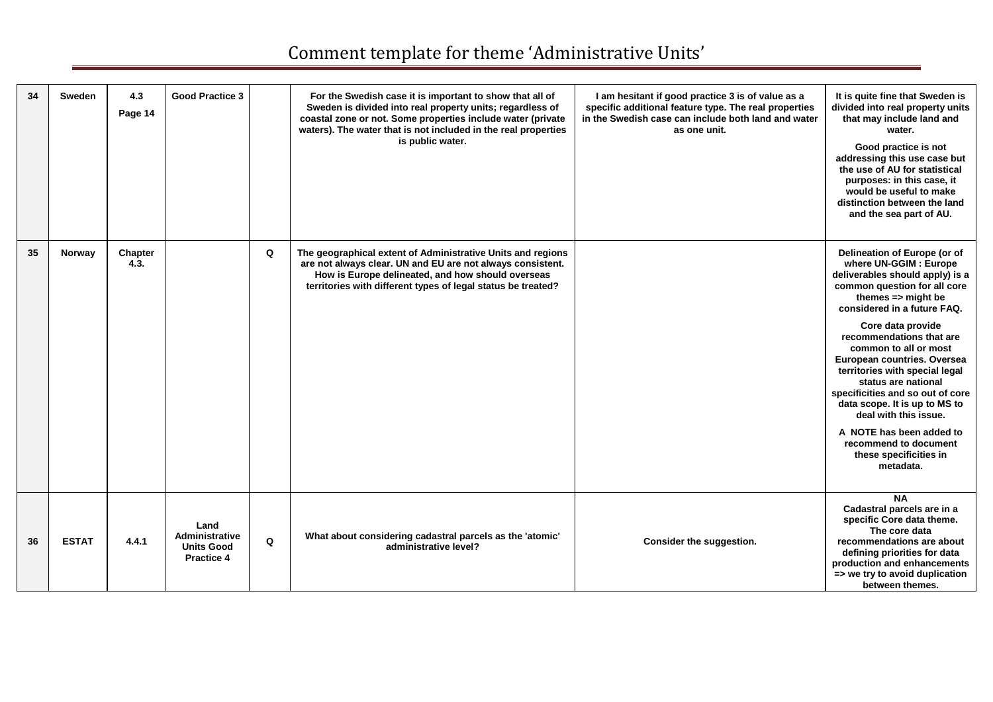| 34 | Sweden       | 4.3<br>Page 14  | <b>Good Practice 3</b>                                           |          | For the Swedish case it is important to show that all of<br>Sweden is divided into real property units; regardless of<br>coastal zone or not. Some properties include water (private<br>waters). The water that is not included in the real properties<br>is public water. | I am hesitant if good practice 3 is of value as a<br>specific additional feature type. The real properties<br>in the Swedish case can include both land and water<br>as one unit. | It is quite fine that Sweden is<br>divided into real property units<br>that may include land and<br>water.<br>Good practice is not<br>addressing this use case but<br>the use of AU for statistical<br>purposes: in this case, it<br>would be useful to make<br>distinction between the land<br>and the sea part of AU.                                                                                                                                                                                                                               |
|----|--------------|-----------------|------------------------------------------------------------------|----------|----------------------------------------------------------------------------------------------------------------------------------------------------------------------------------------------------------------------------------------------------------------------------|-----------------------------------------------------------------------------------------------------------------------------------------------------------------------------------|-------------------------------------------------------------------------------------------------------------------------------------------------------------------------------------------------------------------------------------------------------------------------------------------------------------------------------------------------------------------------------------------------------------------------------------------------------------------------------------------------------------------------------------------------------|
| 35 | Norway       | Chapter<br>4.3. |                                                                  | $\Omega$ | The geographical extent of Administrative Units and regions<br>are not always clear. UN and EU are not always consistent.<br>How is Europe delineated, and how should overseas<br>territories with different types of legal status be treated?                             |                                                                                                                                                                                   | Delineation of Europe (or of<br>where UN-GGIM : Europe<br>deliverables should apply) is a<br>common question for all core<br>themes $\Rightarrow$ might be<br>considered in a future FAQ.<br>Core data provide<br>recommendations that are<br>common to all or most<br>European countries. Oversea<br>territories with special legal<br>status are national<br>specificities and so out of core<br>data scope. It is up to MS to<br>deal with this issue.<br>A NOTE has been added to<br>recommend to document<br>these specificities in<br>metadata. |
| 36 | <b>ESTAT</b> | 4.4.1           | Land<br>Administrative<br><b>Units Good</b><br><b>Practice 4</b> | Q        | What about considering cadastral parcels as the 'atomic'<br>administrative level?                                                                                                                                                                                          | Consider the suggestion.                                                                                                                                                          | <b>NA</b><br>Cadastral parcels are in a<br>specific Core data theme.<br>The core data<br>recommendations are about<br>defining priorities for data<br>production and enhancements<br>=> we try to avoid duplication<br>between themes.                                                                                                                                                                                                                                                                                                                |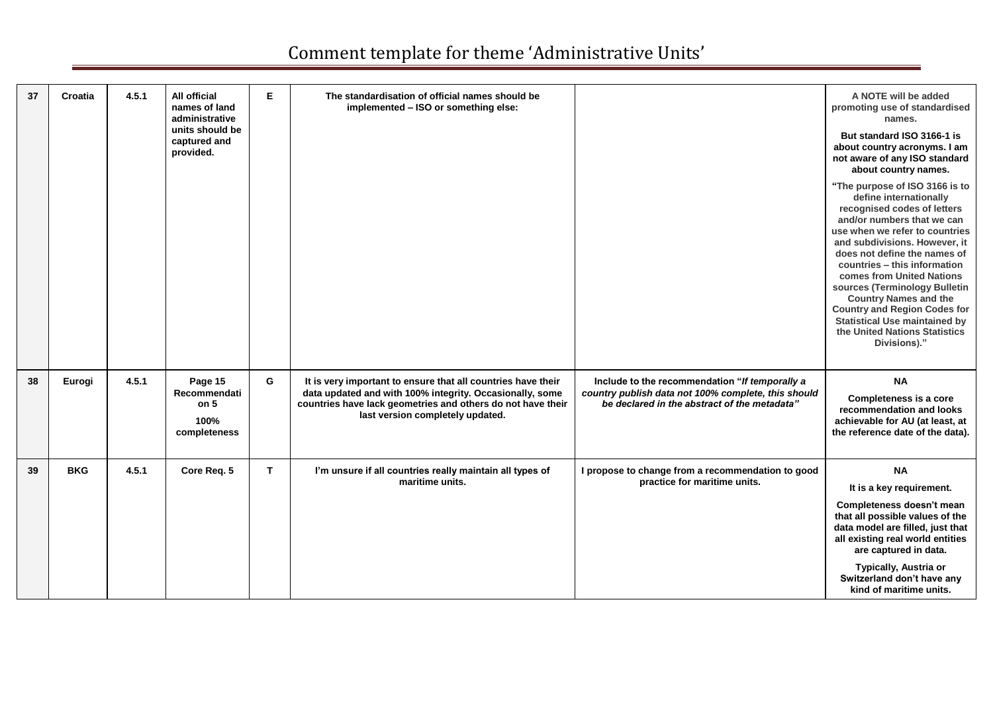| 37 | Croatia    | 4.5.1 | All official<br>names of land<br>administrative<br>units should be<br>captured and<br>provided. | Е            | The standardisation of official names should be<br>implemented - ISO or something else:                                                                                                                                     |                                                                                                                                                       | A NOTE will be added<br>promoting use of standardised<br>names.<br>But standard ISO 3166-1 is<br>about country acronyms. I am<br>not aware of any ISO standard<br>about country names.<br>"The purpose of ISO 3166 is to<br>define internationally<br>recognised codes of letters<br>and/or numbers that we can<br>use when we refer to countries<br>and subdivisions. However, it<br>does not define the names of<br>countries - this information<br>comes from United Nations<br>sources (Terminology Bulletin<br><b>Country Names and the</b><br><b>Country and Region Codes for</b><br><b>Statistical Use maintained by</b><br>the United Nations Statistics<br>Divisions)." |
|----|------------|-------|-------------------------------------------------------------------------------------------------|--------------|-----------------------------------------------------------------------------------------------------------------------------------------------------------------------------------------------------------------------------|-------------------------------------------------------------------------------------------------------------------------------------------------------|----------------------------------------------------------------------------------------------------------------------------------------------------------------------------------------------------------------------------------------------------------------------------------------------------------------------------------------------------------------------------------------------------------------------------------------------------------------------------------------------------------------------------------------------------------------------------------------------------------------------------------------------------------------------------------|
| 38 | Eurogi     | 4.5.1 | Page 15<br>Recommendati<br>on <sub>5</sub><br>100%<br>completeness                              | G            | It is very important to ensure that all countries have their<br>data updated and with 100% integrity. Occasionally, some<br>countries have lack geometries and others do not have their<br>last version completely updated. | Include to the recommendation "If temporally a<br>country publish data not 100% complete, this should<br>be declared in the abstract of the metadata" | <b>NA</b><br>Completeness is a core<br>recommendation and looks<br>achievable for AU (at least, at<br>the reference date of the data).                                                                                                                                                                                                                                                                                                                                                                                                                                                                                                                                           |
| 39 | <b>BKG</b> | 4.5.1 | Core Req. 5                                                                                     | $\mathbf{T}$ | I'm unsure if all countries really maintain all types of<br>maritime units.                                                                                                                                                 | I propose to change from a recommendation to good<br>practice for maritime units.                                                                     | <b>NA</b><br>It is a key requirement.<br>Completeness doesn't mean<br>that all possible values of the<br>data model are filled, just that<br>all existing real world entities<br>are captured in data.<br>Typically, Austria or<br>Switzerland don't have any<br>kind of maritime units.                                                                                                                                                                                                                                                                                                                                                                                         |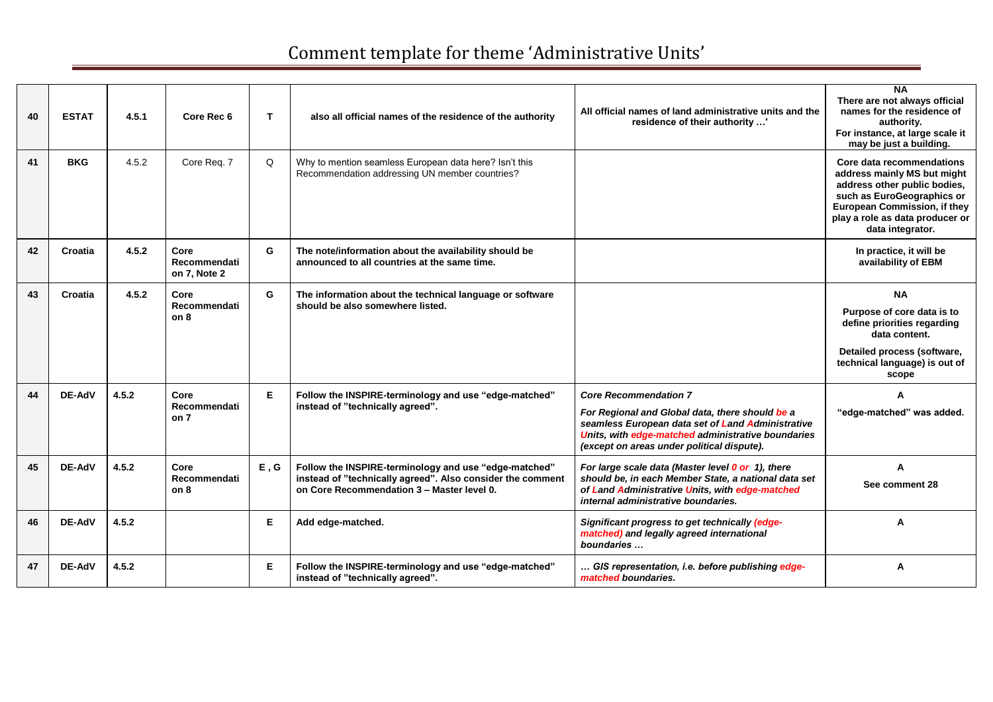| 40 | <b>ESTAT</b>  | 4.5.1 | Core Rec 6                                  | T    | also all official names of the residence of the authority                                                                                                         | All official names of land administrative units and the<br>residence of their authority '                                                                                                                                                | <b>NA</b><br>There are not always official<br>names for the residence of<br>authority.<br>For instance, at large scale it<br>may be just a building.                                                          |
|----|---------------|-------|---------------------------------------------|------|-------------------------------------------------------------------------------------------------------------------------------------------------------------------|------------------------------------------------------------------------------------------------------------------------------------------------------------------------------------------------------------------------------------------|---------------------------------------------------------------------------------------------------------------------------------------------------------------------------------------------------------------|
| 41 | <b>BKG</b>    | 4.5.2 | Core Req. 7                                 | Q    | Why to mention seamless European data here? Isn't this<br>Recommendation addressing UN member countries?                                                          |                                                                                                                                                                                                                                          | Core data recommendations<br>address mainly MS but might<br>address other public bodies,<br>such as EuroGeographics or<br>European Commission, if they<br>play a role as data producer or<br>data integrator. |
| 42 | Croatia       | 4.5.2 | Core<br><b>Recommendati</b><br>on 7. Note 2 | G    | The note/information about the availability should be<br>announced to all countries at the same time.                                                             |                                                                                                                                                                                                                                          | In practice, it will be<br>availability of EBM                                                                                                                                                                |
| 43 | Croatia       | 4.5.2 | Core<br>Recommendati<br>on 8                | G    | The information about the technical language or software<br>should be also somewhere listed.                                                                      |                                                                                                                                                                                                                                          | <b>NA</b><br>Purpose of core data is to<br>define priorities regarding<br>data content.<br>Detailed process (software,<br>technical language) is out of<br>scope                                              |
| 44 | DE-AdV        | 4.5.2 | Core<br>Recommendati<br>on 7                | E    | Follow the INSPIRE-terminology and use "edge-matched"<br>instead of "technically agreed".                                                                         | <b>Core Recommendation 7</b><br>For Regional and Global data, there should be a<br>seamless European data set of Land Administrative<br>Units, with edge-matched administrative boundaries<br>(except on areas under political dispute). | A<br>"edge-matched" was added.                                                                                                                                                                                |
| 45 | <b>DE-AdV</b> | 4.5.2 | Core<br>Recommendati<br>on 8                | E, G | Follow the INSPIRE-terminology and use "edge-matched"<br>instead of "technically agreed". Also consider the comment<br>on Core Recommendation 3 - Master level 0. | For large scale data (Master level 0 or 1), there<br>should be, in each Member State, a national data set<br>of Land Administrative Units, with edge-matched<br>internal administrative boundaries.                                      | A<br>See comment 28                                                                                                                                                                                           |
| 46 | <b>DE-AdV</b> | 4.5.2 |                                             | E    | Add edge-matched.                                                                                                                                                 | Significant progress to get technically (edge-<br>matched) and legally agreed international<br>boundaries                                                                                                                                | A                                                                                                                                                                                                             |
| 47 | <b>DE-AdV</b> | 4.5.2 |                                             | E.   | Follow the INSPIRE-terminology and use "edge-matched"<br>instead of "technically agreed".                                                                         | GIS representation, i.e. before publishing edge-<br>matched boundaries.                                                                                                                                                                  | A                                                                                                                                                                                                             |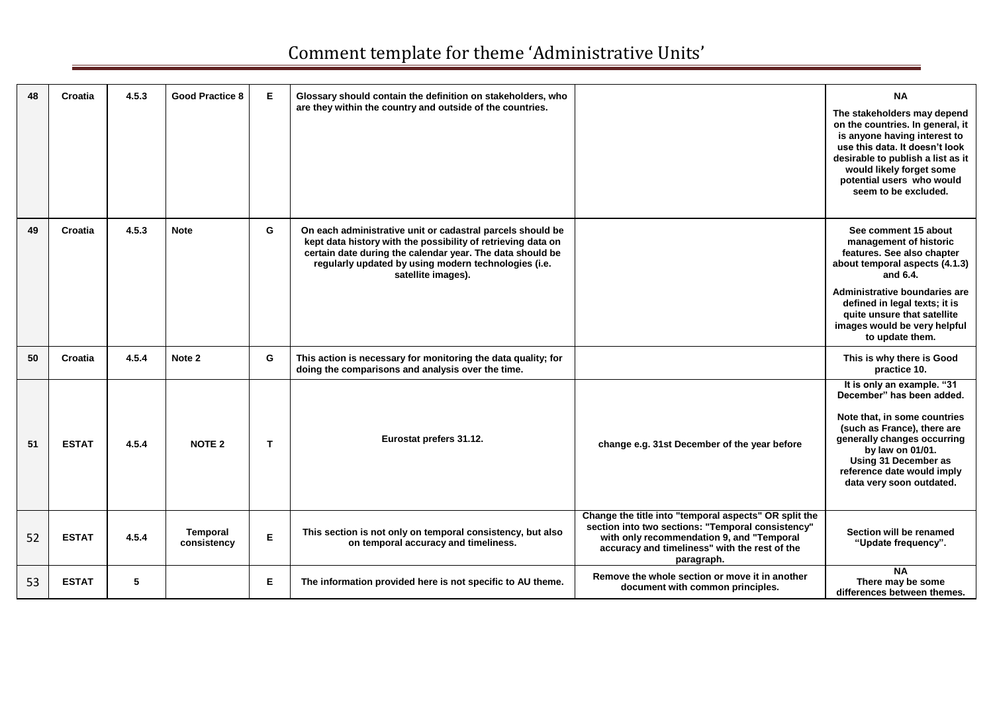| 48 | Croatia      | 4.5.3 | <b>Good Practice 8</b>         | Е           | Glossary should contain the definition on stakeholders, who<br>are they within the country and outside of the countries.                                                                                                                                              |                                                                                                                                                                                                                        | <b>NA</b><br>The stakeholders may depend<br>on the countries. In general, it<br>is anyone having interest to<br>use this data. It doesn't look<br>desirable to publish a list as it<br>would likely forget some<br>potential users who would                |
|----|--------------|-------|--------------------------------|-------------|-----------------------------------------------------------------------------------------------------------------------------------------------------------------------------------------------------------------------------------------------------------------------|------------------------------------------------------------------------------------------------------------------------------------------------------------------------------------------------------------------------|-------------------------------------------------------------------------------------------------------------------------------------------------------------------------------------------------------------------------------------------------------------|
|    |              |       |                                |             |                                                                                                                                                                                                                                                                       |                                                                                                                                                                                                                        | seem to be excluded.                                                                                                                                                                                                                                        |
| 49 | Croatia      | 4.5.3 | <b>Note</b>                    | G           | On each administrative unit or cadastral parcels should be<br>kept data history with the possibility of retrieving data on<br>certain date during the calendar year. The data should be<br>regularly updated by using modern technologies (i.e.<br>satellite images). |                                                                                                                                                                                                                        | See comment 15 about<br>management of historic<br>features. See also chapter<br>about temporal aspects (4.1.3)<br>and 6.4.                                                                                                                                  |
|    |              |       |                                |             |                                                                                                                                                                                                                                                                       |                                                                                                                                                                                                                        | Administrative boundaries are<br>defined in legal texts; it is<br>quite unsure that satellite<br>images would be very helpful<br>to update them.                                                                                                            |
| 50 | Croatia      | 4.5.4 | Note 2                         | G           | This action is necessary for monitoring the data quality; for<br>doing the comparisons and analysis over the time.                                                                                                                                                    |                                                                                                                                                                                                                        | This is why there is Good<br>practice 10.                                                                                                                                                                                                                   |
| 51 | <b>ESTAT</b> | 4.5.4 | <b>NOTE 2</b>                  | T.          | Eurostat prefers 31.12.                                                                                                                                                                                                                                               | change e.g. 31st December of the year before                                                                                                                                                                           | It is only an example. "31<br>December" has been added.<br>Note that, in some countries<br>(such as France), there are<br>generally changes occurring<br>by law on 01/01.<br>Using 31 December as<br>reference date would imply<br>data very soon outdated. |
| 52 | <b>ESTAT</b> | 4.5.4 | <b>Temporal</b><br>consistency | $\mathsf E$ | This section is not only on temporal consistency, but also<br>on temporal accuracy and timeliness.                                                                                                                                                                    | Change the title into "temporal aspects" OR split the<br>section into two sections: "Temporal consistency"<br>with only recommendation 9, and "Temporal<br>accuracy and timeliness" with the rest of the<br>paragraph. | Section will be renamed<br>"Update frequency".                                                                                                                                                                                                              |
| 53 | <b>ESTAT</b> | 5     |                                | E           | The information provided here is not specific to AU theme.                                                                                                                                                                                                            | Remove the whole section or move it in another<br>document with common principles.                                                                                                                                     | <b>NA</b><br>There may be some<br>differences between themes.                                                                                                                                                                                               |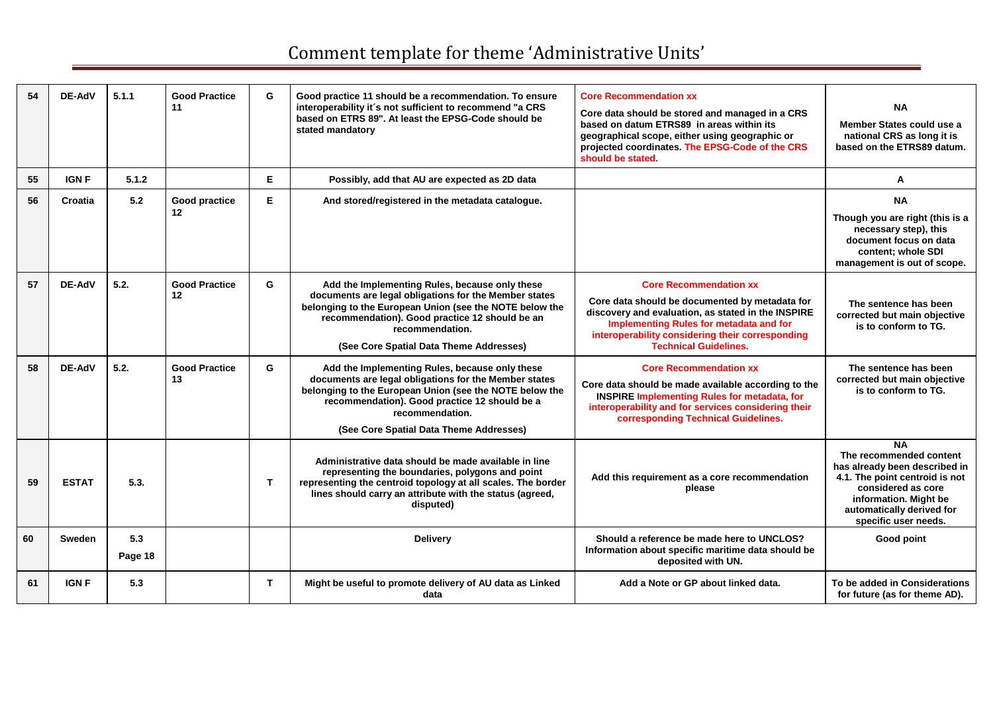| 54 | DE-AdV        | 5.1.1          | <b>Good Practice</b><br>11 | G            | Good practice 11 should be a recommendation. To ensure<br>interoperability it's not sufficient to recommend "a CRS<br>based on ETRS 89". At least the EPSG-Code should be<br>stated mandatory                                                                                      | <b>Core Recommendation xx</b><br>Core data should be stored and managed in a CRS<br>based on datum ETRS89 in areas within its<br>geographical scope, either using geographic or<br>projected coordinates. The EPSG-Code of the CRS<br>should be stated.              | <b>NA</b><br>Member States could use a<br>national CRS as long it is<br>based on the ETRS89 datum.                                                                                                          |
|----|---------------|----------------|----------------------------|--------------|------------------------------------------------------------------------------------------------------------------------------------------------------------------------------------------------------------------------------------------------------------------------------------|----------------------------------------------------------------------------------------------------------------------------------------------------------------------------------------------------------------------------------------------------------------------|-------------------------------------------------------------------------------------------------------------------------------------------------------------------------------------------------------------|
| 55 | <b>IGN F</b>  | 5.1.2          |                            | E            | Possibly, add that AU are expected as 2D data                                                                                                                                                                                                                                      |                                                                                                                                                                                                                                                                      | A                                                                                                                                                                                                           |
| 56 | Croatia       | 5.2            | Good practice<br>12        | Е            | And stored/registered in the metadata catalogue.                                                                                                                                                                                                                                   |                                                                                                                                                                                                                                                                      | <b>NA</b><br>Though you are right (this is a<br>necessary step), this<br>document focus on data<br>content; whole SDI<br>management is out of scope.                                                        |
| 57 | DE-AdV        | 5.2.           | <b>Good Practice</b><br>12 | G            | Add the Implementing Rules, because only these<br>documents are legal obligations for the Member states<br>belonging to the European Union (see the NOTE below the<br>recommendation). Good practice 12 should be an<br>recommendation.<br>(See Core Spatial Data Theme Addresses) | <b>Core Recommendation xx</b><br>Core data should be documented by metadata for<br>discovery and evaluation, as stated in the INSPIRE<br>Implementing Rules for metadata and for<br>interoperability considering their corresponding<br><b>Technical Guidelines.</b> | The sentence has been<br>corrected but main objective<br>is to conform to TG.                                                                                                                               |
| 58 | <b>DE-AdV</b> | 5.2.           | <b>Good Practice</b><br>13 | G            | Add the Implementing Rules, because only these<br>documents are legal obligations for the Member states<br>belonging to the European Union (see the NOTE below the<br>recommendation). Good practice 12 should be a<br>recommendation.<br>(See Core Spatial Data Theme Addresses)  | <b>Core Recommendation XX</b><br>Core data should be made available according to the<br><b>INSPIRE Implementing Rules for metadata, for</b><br>interoperability and for services considering their<br>corresponding Technical Guidelines.                            | The sentence has been<br>corrected but main objective<br>is to conform to TG.                                                                                                                               |
| 59 | <b>ESTAT</b>  | 5.3.           |                            | $\mathbf{T}$ | Administrative data should be made available in line<br>representing the boundaries, polygons and point<br>representing the centroid topology at all scales. The border<br>lines should carry an attribute with the status (agreed,<br>disputed)                                   | Add this requirement as a core recommendation<br>please                                                                                                                                                                                                              | <b>NA</b><br>The recommended content<br>has already been described in<br>4.1. The point centroid is not<br>considered as core<br>information. Might be<br>automatically derived for<br>specific user needs. |
| 60 | Sweden        | 5.3<br>Page 18 |                            |              | <b>Delivery</b>                                                                                                                                                                                                                                                                    | Should a reference be made here to UNCLOS?<br>Information about specific maritime data should be<br>deposited with UN.                                                                                                                                               | Good point                                                                                                                                                                                                  |
| 61 | <b>IGN F</b>  | 5.3            |                            | T.           | Might be useful to promote delivery of AU data as Linked<br>data                                                                                                                                                                                                                   | Add a Note or GP about linked data.                                                                                                                                                                                                                                  | To be added in Considerations<br>for future (as for theme AD).                                                                                                                                              |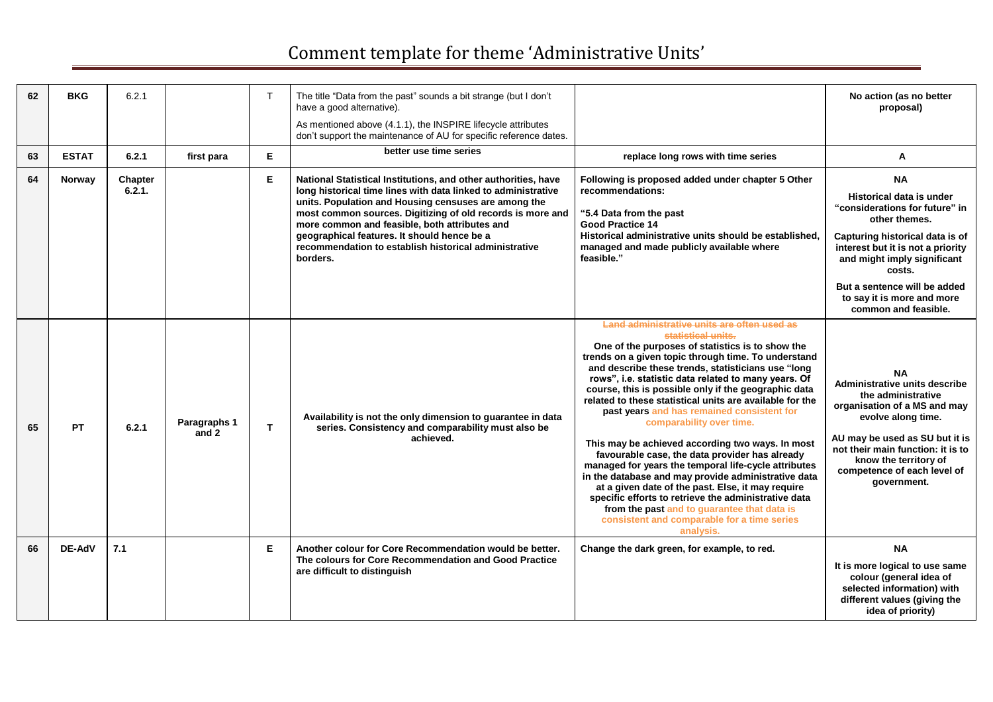| 62 | <b>BKG</b>   | 6.2.1             |                       | T.           | The title "Data from the past" sounds a bit strange (but I don't<br>have a good alternative).<br>As mentioned above (4.1.1), the INSPIRE lifecycle attributes<br>don't support the maintenance of AU for specific reference dates.                                                                                                                                                                                         |                                                                                                                                                                                                                                                                                                                                                                                                                                                                                                                                                                                                                                                                                                                                                                                                                                                                                                                                       | No action (as no better<br>proposal)                                                                                                                                                                                                                                                            |
|----|--------------|-------------------|-----------------------|--------------|----------------------------------------------------------------------------------------------------------------------------------------------------------------------------------------------------------------------------------------------------------------------------------------------------------------------------------------------------------------------------------------------------------------------------|---------------------------------------------------------------------------------------------------------------------------------------------------------------------------------------------------------------------------------------------------------------------------------------------------------------------------------------------------------------------------------------------------------------------------------------------------------------------------------------------------------------------------------------------------------------------------------------------------------------------------------------------------------------------------------------------------------------------------------------------------------------------------------------------------------------------------------------------------------------------------------------------------------------------------------------|-------------------------------------------------------------------------------------------------------------------------------------------------------------------------------------------------------------------------------------------------------------------------------------------------|
| 63 | <b>ESTAT</b> | 6.2.1             | first para            | E.           | better use time series                                                                                                                                                                                                                                                                                                                                                                                                     | replace long rows with time series                                                                                                                                                                                                                                                                                                                                                                                                                                                                                                                                                                                                                                                                                                                                                                                                                                                                                                    | A                                                                                                                                                                                                                                                                                               |
| 64 | Norway       | Chapter<br>6.2.1. |                       | Е            | National Statistical Institutions, and other authorities, have<br>long historical time lines with data linked to administrative<br>units. Population and Housing censuses are among the<br>most common sources. Digitizing of old records is more and<br>more common and feasible, both attributes and<br>geographical features. It should hence be a<br>recommendation to establish historical administrative<br>borders. | Following is proposed added under chapter 5 Other<br>recommendations:<br>"5.4 Data from the past<br><b>Good Practice 14</b><br>Historical administrative units should be established.<br>managed and made publicly available where<br>feasible."                                                                                                                                                                                                                                                                                                                                                                                                                                                                                                                                                                                                                                                                                      | <b>NA</b><br>Historical data is under<br>"considerations for future" in<br>other themes.<br>Capturing historical data is of<br>interest but it is not a priority<br>and might imply significant<br>costs.<br>But a sentence will be added<br>to say it is more and more<br>common and feasible. |
| 65 | PT.          | 6.2.1             | Paragraphs 1<br>and 2 | $\mathbf{T}$ | Availability is not the only dimension to guarantee in data<br>series. Consistency and comparability must also be<br>achieved.                                                                                                                                                                                                                                                                                             | Land administrative units are often used as<br>statistical units.<br>One of the purposes of statistics is to show the<br>trends on a given topic through time. To understand<br>and describe these trends, statisticians use "long<br>rows", i.e. statistic data related to many years. Of<br>course, this is possible only if the geographic data<br>related to these statistical units are available for the<br>past years and has remained consistent for<br>comparability over time.<br>This may be achieved according two ways. In most<br>favourable case, the data provider has already<br>managed for years the temporal life-cycle attributes<br>in the database and may provide administrative data<br>at a given date of the past. Else, it may require<br>specific efforts to retrieve the administrative data<br>from the past and to guarantee that data is<br>consistent and comparable for a time series<br>analysis. | <b>NA</b><br>Administrative units describe<br>the administrative<br>organisation of a MS and may<br>evolve along time.<br>AU may be used as SU but it is<br>not their main function: it is to<br>know the territory of<br>competence of each level of<br>government.                            |
| 66 | DE-AdV       | 7.1               |                       | E.           | Another colour for Core Recommendation would be better.<br>The colours for Core Recommendation and Good Practice<br>are difficult to distinguish                                                                                                                                                                                                                                                                           | Change the dark green, for example, to red.                                                                                                                                                                                                                                                                                                                                                                                                                                                                                                                                                                                                                                                                                                                                                                                                                                                                                           | <b>NA</b><br>It is more logical to use same<br>colour (general idea of<br>selected information) with<br>different values (giving the<br>idea of priority)                                                                                                                                       |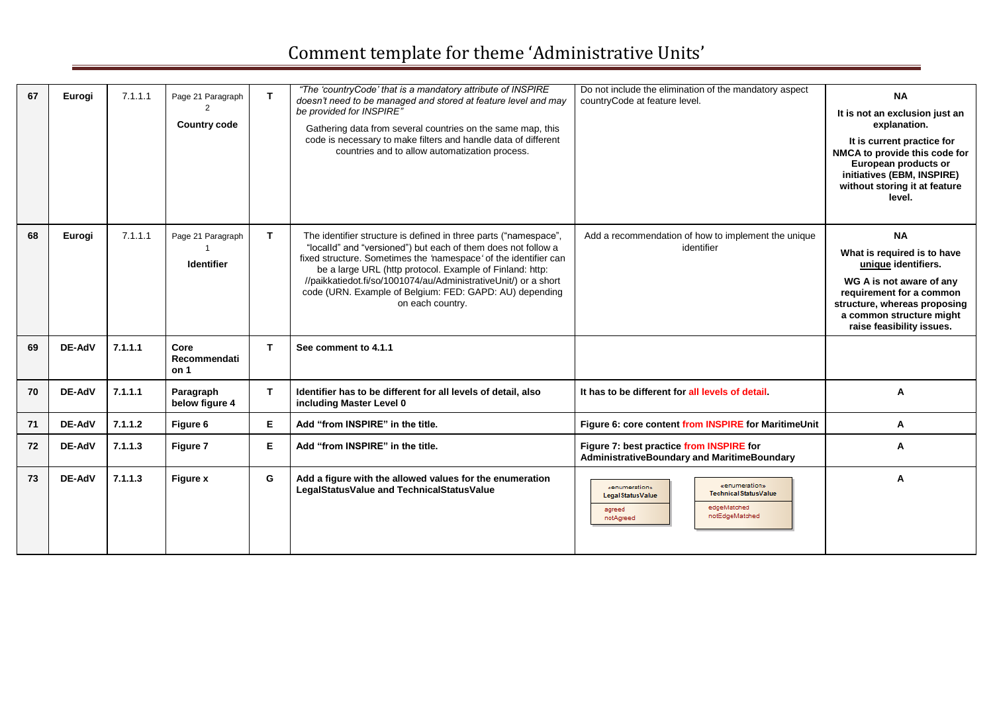| 67 | Eurogi        | 7.1.1.1 | Page 21 Paragraph<br><b>Country code</b> |             | "The 'countryCode' that is a mandatory attribute of INSPIRE<br>doesn't need to be managed and stored at feature level and may<br>be provided for INSPIRE"<br>Gathering data from several countries on the same map, this<br>code is necessary to make filters and handle data of different<br>countries and to allow automatization process.                                                                        | Do not include the elimination of the mandatory aspect<br>countryCode at feature level.                                                | <b>NA</b><br>It is not an exclusion just an<br>explanation.<br>It is current practice for<br>NMCA to provide this code for<br>European products or<br>initiatives (EBM, INSPIRE)<br>without storing it at feature<br>level. |
|----|---------------|---------|------------------------------------------|-------------|---------------------------------------------------------------------------------------------------------------------------------------------------------------------------------------------------------------------------------------------------------------------------------------------------------------------------------------------------------------------------------------------------------------------|----------------------------------------------------------------------------------------------------------------------------------------|-----------------------------------------------------------------------------------------------------------------------------------------------------------------------------------------------------------------------------|
| 68 | Eurogi        | 7.1.1.1 | Page 21 Paragraph<br><b>Identifier</b>   | T.          | The identifier structure is defined in three parts ("namespace",<br>"localld" and "versioned") but each of them does not follow a<br>fixed structure. Sometimes the 'namespace' of the identifier can<br>be a large URL (http protocol. Example of Finland: http:<br>//paikkatiedot.fi/so/1001074/au/AdministrativeUnit/) or a short<br>code (URN. Example of Belgium: FED: GAPD: AU) depending<br>on each country. | Add a recommendation of how to implement the unique<br>identifier                                                                      | <b>NA</b><br>What is required is to have<br>unique identifiers.<br>WG A is not aware of any<br>requirement for a common<br>structure, whereas proposing<br>a common structure might<br>raise feasibility issues.            |
| 69 | DE-AdV        | 7.1.1.1 | Core<br>Recommendati<br>on 1             | Т           | See comment to 4.1.1                                                                                                                                                                                                                                                                                                                                                                                                |                                                                                                                                        |                                                                                                                                                                                                                             |
| 70 | DE-AdV        | 7.1.1.1 | Paragraph<br>below figure 4              | $\mathbf T$ | Identifier has to be different for all levels of detail, also<br>including Master Level 0                                                                                                                                                                                                                                                                                                                           | It has to be different for all levels of detail                                                                                        | A                                                                                                                                                                                                                           |
| 71 | <b>DE-AdV</b> | 7.1.1.2 | Figure 6                                 | Е           | Add "from INSPIRE" in the title.                                                                                                                                                                                                                                                                                                                                                                                    | Figure 6: core content from INSPIRE for MaritimeUnit                                                                                   | Α                                                                                                                                                                                                                           |
| 72 | <b>DE-AdV</b> | 7.1.1.3 | Figure 7                                 | E           | Add "from INSPIRE" in the title.                                                                                                                                                                                                                                                                                                                                                                                    | Figure 7: best practice from INSPIRE for<br>AdministrativeBoundary and MaritimeBoundary                                                | A                                                                                                                                                                                                                           |
| 73 | DE-AdV        | 7.1.1.3 | <b>Figure x</b>                          | G           | Add a figure with the allowed values for the enumeration<br>LegalStatusValue and TechnicalStatusValue                                                                                                                                                                                                                                                                                                               | «enumeration»<br>«enumeration»<br>Technical Status Value<br>Legal Status Value<br>edgeMatched<br>agreed<br>notEdgeMatched<br>notAgreed | A                                                                                                                                                                                                                           |